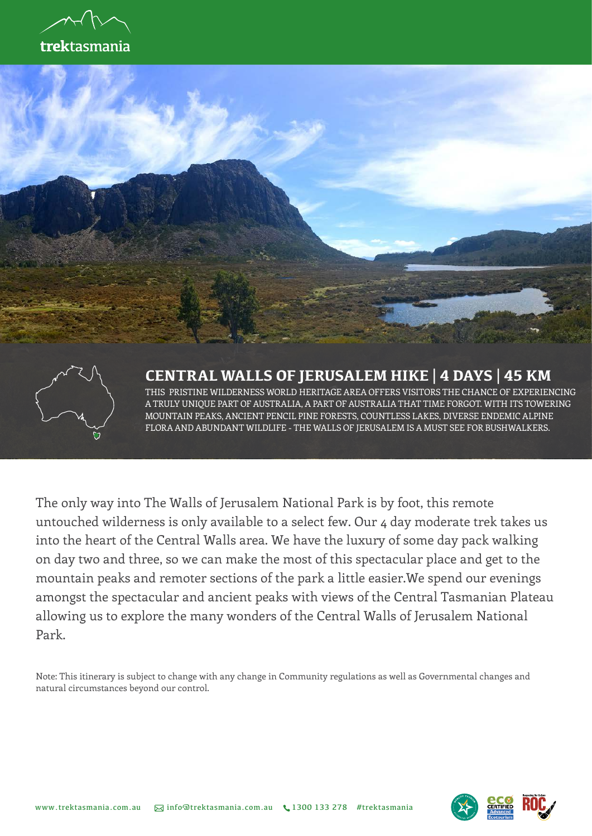





#### **CENTRAL WALLS OF JERUSALEM HIKE | 4 DAYS | 45 KM**

THIS PRISTINE WILDERNESS WORLD HERITAGE AREA OFFERS VISITORS THE CHANCE OF EXPERIENCING A TRULY UNIQUE PART OF AUSTRALIA, A PART OF AUSTRALIA THAT TIME FORGOT. WITH ITS TOWERING MOUNTAIN PEAKS, ANCIENT PENCIL PINE FORESTS, COUNTLESS LAKES, DIVERSE ENDEMIC ALPINE FLORA AND ABUNDANT WILDLIFE - THE WALLS OF JERUSALEM IS A MUST SEE FOR BUSHWALKERS.

The only way into The Walls of Jerusalem National Park is by foot, this remote untouched wilderness is only available to a select few. Our 4 day moderate trek takes us into the heart of the Central Walls area. We have the luxury of some day pack walking on day two and three, so we can make the most of this spectacular place and get to the mountain peaks and remoter sections of the park a little easier.We spend our evenings amongst the spectacular and ancient peaks with views of the Central Tasmanian Plateau allowing us to explore the many wonders of the Central Walls of Jerusalem National Park.

Note: This itinerary is subject to change with any change in Community regulations as well as Governmental changes and natural circumstances beyond our control.

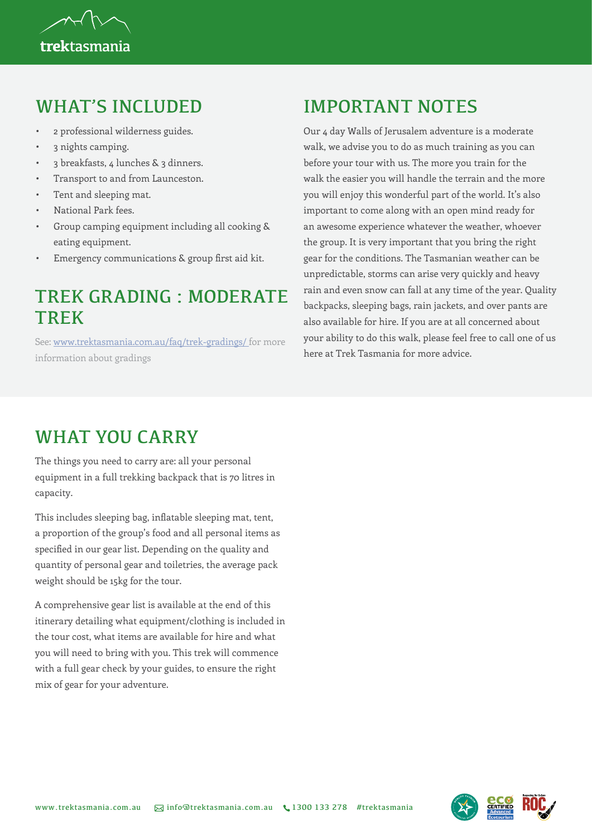

#### WHAT'S INCLUDED

- 2 professional wilderness guides.
- 3 nights camping.
- 3 breakfasts, 4 lunches & 3 dinners.
- Transport to and from Launceston.
- Tent and sleeping mat.
- National Park fees.
- Group camping equipment including all cooking & eating equipment.
- Emergency communications & group first aid kit.

### TREK GRADING : MODERATE **TRFK**

See: [www.trektasmania.com.au/faq/trek-gradings/](https://www.trektasmania.com.au/faq/trek-gradings/ ) for more information about gradings

# IMPORTANT NOTES

Our 4 day Walls of Jerusalem adventure is a moderate walk, we advise you to do as much training as you can before your tour with us. The more you train for the walk the easier you will handle the terrain and the more you will enjoy this wonderful part of the world. It's also important to come along with an open mind ready for an awesome experience whatever the weather, whoever the group. It is very important that you bring the right gear for the conditions. The Tasmanian weather can be unpredictable, storms can arise very quickly and heavy rain and even snow can fall at any time of the year. Quality backpacks, sleeping bags, rain jackets, and over pants are also available for hire. If you are at all concerned about your ability to do this walk, please feel free to call one of us here at Trek Tasmania for more advice.

## WHAT YOU CARRY

The things you need to carry are: all your personal equipment in a full trekking backpack that is 70 litres in capacity.

This includes sleeping bag, inflatable sleeping mat, tent, a proportion of the group's food and all personal items as specified in our gear list. Depending on the quality and quantity of personal gear and toiletries, the average pack weight should be 15kg for the tour.

A comprehensive gear list is available at the end of this itinerary detailing what equipment/clothing is included in the tour cost, what items are available for hire and what you will need to bring with you. This trek will commence with a full gear check by your guides, to ensure the right mix of gear for your adventure.

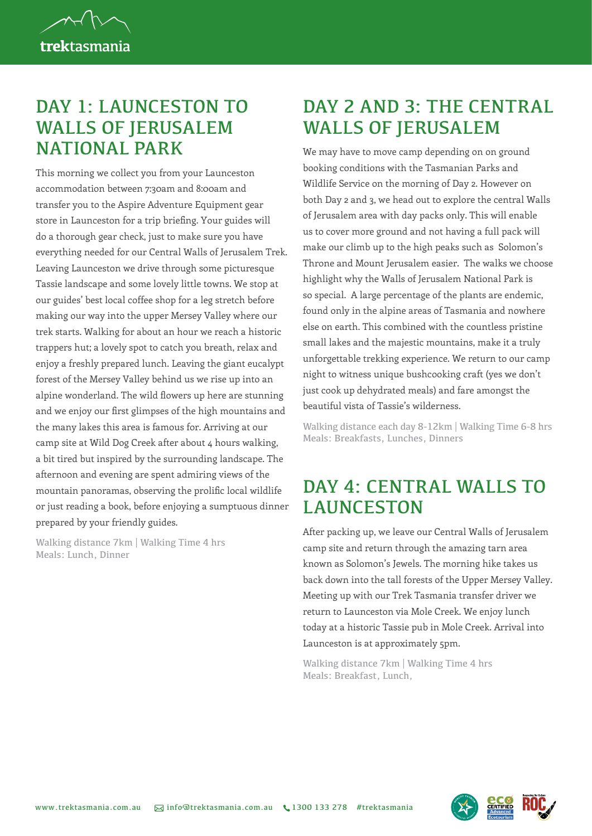

#### DAY 1: LAUNCESTON TO WALLS OF JERUSALEM NATIONAL PARK

This morning we collect you from your Launceston accommodation between 7:30am and 8:00am and transfer you to the Aspire Adventure Equipment gear store in Launceston for a trip briefing. Your guides will do a thorough gear check, just to make sure you have everything needed for our Central Walls of Jerusalem Trek. Leaving Launceston we drive through some picturesque Tassie landscape and some lovely little towns. We stop at our guides' best local coffee shop for a leg stretch before making our way into the upper Mersey Valley where our trek starts. Walking for about an hour we reach a historic trappers hut; a lovely spot to catch you breath, relax and enjoy a freshly prepared lunch. Leaving the giant eucalypt forest of the Mersey Valley behind us we rise up into an alpine wonderland. The wild flowers up here are stunning and we enjoy our first glimpses of the high mountains and the many lakes this area is famous for. Arriving at our camp site at Wild Dog Creek after about 4 hours walking, a bit tired but inspired by the surrounding landscape. The afternoon and evening are spent admiring views of the mountain panoramas, observing the prolific local wildlife or just reading a book, before enjoying a sumptuous dinner prepared by your friendly guides.

Walking distance 7km | Walking Time 4 hrs Meals: Lunch, Dinner

## DAY 2 AND 3: THE CENTRAL WALLS OF JERUSALEM

We may have to move camp depending on on ground booking conditions with the Tasmanian Parks and Wildlife Service on the morning of Day 2. However on both Day 2 and 3, we head out to explore the central Walls of Jerusalem area with day packs only. This will enable us to cover more ground and not having a full pack will make our climb up to the high peaks such as Solomon's Throne and Mount Jerusalem easier. The walks we choose highlight why the Walls of Jerusalem National Park is so special. A large percentage of the plants are endemic, found only in the alpine areas of Tasmania and nowhere else on earth. This combined with the countless pristine small lakes and the majestic mountains, make it a truly unforgettable trekking experience. We return to our camp night to witness unique bushcooking craft (yes we don't just cook up dehydrated meals) and fare amongst the beautiful vista of Tassie's wilderness.

Walking distance each day 8-12km | Walking Time 6-8 hrs Meals: Breakfasts, Lunches, Dinners

### DAY 4: CENTRAL WALLS TO **LAUNCESTON**

After packing up, we leave our Central Walls of Jerusalem camp site and return through the amazing tarn area known as Solomon's Jewels. The morning hike takes us back down into the tall forests of the Upper Mersey Valley. Meeting up with our Trek Tasmania transfer driver we return to Launceston via Mole Creek. We enjoy lunch today at a historic Tassie pub in Mole Creek. Arrival into Launceston is at approximately 5pm.

Walking distance 7km | Walking Time 4 hrs Meals: Breakfast, Lunch,